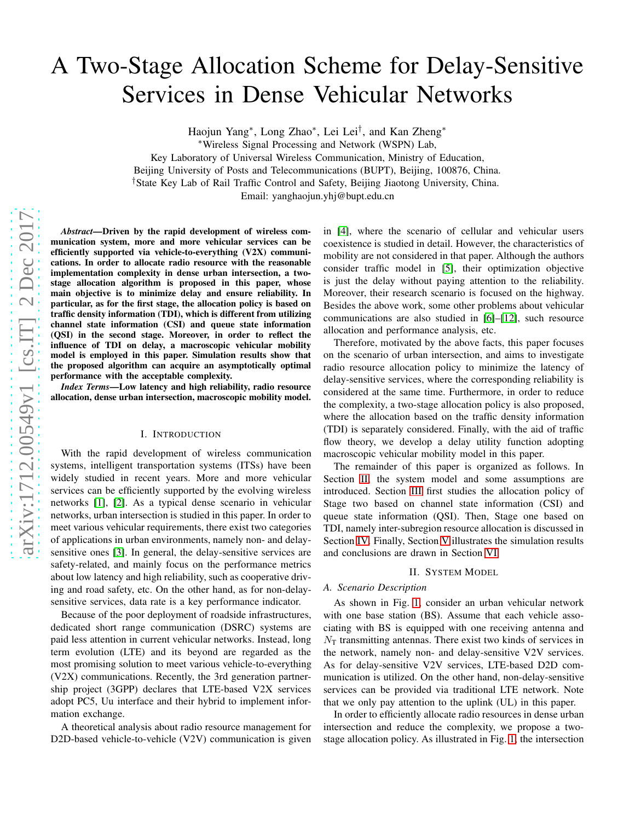# A Two-Stage Allocation Scheme for Delay-Sensitive Services in Dense Vehicular Networks

Haojun Yang\*, Long Zhao\*, Lei Lei<sup>†</sup>, and Kan Zheng\*

<sup>∗</sup>Wireless Signal Processing and Network (WSPN) Lab,

Key Laboratory of Universal Wireless Communication, Ministry of Education,

Beijing University of Posts and Telecommunications (BUPT), Beijing, 100876, China.

†State Key Lab of Rail Traffic Control and Safety, Beijing Jiaotong University, China.

Email: yanghaojun.yhj@bupt.edu.cn

*Abstract*—Driven by the rapid development of wireless communication system, more and more vehicular services can be efficiently supported via vehicle-to-everything (V2X) communications. In order to allocate radio resource with the reasonable implementation complexity in dense urban intersection, a twostage allocation algorithm is proposed in this paper, whose main objective is to minimize delay and ensure reliability. In particular, as for the first stage, the allocation policy is based on traffic density information (TDI), which is different from utilizing channel state information (CSI) and queue state informatio n (QSI) in the second stage. Moreover, in order to reflect the influence of TDI on delay, a macroscopic vehicular mobility model is employed in this paper. Simulation results show tha t the proposed algorithm can acquire an asymptotically optimal performance with the acceptable complexity.

*Index Terms*—Low latency and high reliability, radio resource allocation, dense urban intersection, macroscopic mobility model.

#### I. INTRODUCTION

With the rapid development of wireless communication systems, intelligent transportation systems (ITSs) have been widely studied in recent years. More and more vehicular services can be efficiently supported by the evolving wireless networks [\[1\]](#page-5-0), [\[2\]](#page-5-1). As a typical dense scenario in vehicular networks, urban intersection is studied in this paper. In order to meet various vehicular requirements, there exist two categories of applications in urban environments, namely non- and delaysensitive ones [\[3\]](#page-5-2). In general, the delay-sensitive services are safety-related, and mainly focus on the performance metrics about low latency and high reliability, such as cooperative driving and road safety, etc. On the other hand, as for non-delaysensitive services, data rate is a key performance indicator.

Because of the poor deployment of roadside infrastructures , dedicated short range communication (DSRC) systems are paid less attention in current vehicular networks. Instead, long term evolution (LTE) and its beyond are regarded as the most promising solution to meet various vehicle-to-everything (V2X) communications. Recently, the 3rd generation partnership project (3GPP) declares that LTE-based V2X services adopt PC5, Uu interface and their hybrid to implement information exchange.

A theoretical analysis about radio resource management for D2D-based vehicle-to-vehicle (V2V) communication is give n

in [\[4\]](#page-5-3), where the scenario of cellular and vehicular users coexistence is studied in detail. However, the characteristics of mobility are not considered in that paper. Although the authors consider traffic model in [\[5\]](#page-5-4), their optimization objective is just the delay without paying attention to the reliability. Moreover, their research scenario is focused on the highway . Besides the above work, some other problems about vehicular communications are also studied in [\[6\]](#page-5-5)–[\[12\]](#page-5-6), such resource allocation and performance analysis, etc.

Therefore, motivated by the above facts, this paper focuses on the scenario of urban intersection, and aims to investigate radio resource allocation policy to minimize the latency of delay-sensitive services, where the corresponding reliability is considered at the same time. Furthermore, in order to reduce the complexity, a two-stage allocation policy is also proposed, where the allocation based on the traffic density informatio n (TDI) is separately considered. Finally, with the aid of traffic flow theory, we develop a delay utility function adopting macroscopic vehicular mobility model in this paper.

The remainder of this paper is organized as follows. In Section [II,](#page-0-0) the system model and some assumptions are introduced. Section [III](#page-2-0) first studies the allocation policy of Stage two based on channel state information (CSI) and queue state information (QSI). Then, Stage one based on TDI, namely inter-subregion resource allocation is discussed in Section [IV.](#page-3-0) Finally, Section [V](#page-4-0) illustrates the simulation results and conclusions are drawn in Section [VI.](#page-5-7)

## II. SYSTEM MODEL

#### <span id="page-0-0"></span>*A. Scenario Description*

As shown in Fig. [1,](#page-1-0) consider an urban vehicular network with one base station (BS). Assume that each vehicle associating with BS is equipped with one receiving antenna and  $N<sub>T</sub>$  transmitting antennas. There exist two kinds of services in the network, namely non- and delay-sensitive V2V services. As for delay-sensitive V2V services, LTE-based D2D communication is utilized. On the other hand, non-delay-sensitive services can be provided via traditional LTE network. Note that we only pay attention to the uplink (UL) in this paper.

In order to efficiently allocate radio resources in dense urban intersection and reduce the complexity, we propose a twostage allocation policy. As illustrated in Fig. [1,](#page-1-0) the intersection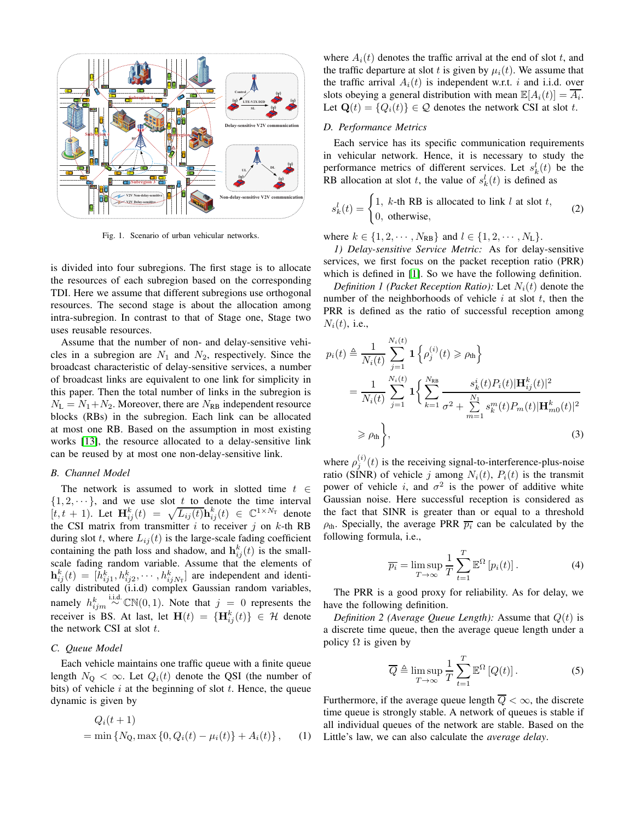

<span id="page-1-0"></span>Fig. 1. Scenario of urban vehicular networks.

is divided into four subregions. The first stage is to allocate the resources of each subregion based on the corresponding TDI. Here we assume that different subregions use orthogonal resources. The second stage is about the allocation among intra-subregion. In contrast to that of Stage one, Stage two uses reusable resources.

Assume that the number of non- and delay-sensitive vehicles in a subregion are  $N_1$  and  $N_2$ , respectively. Since the broadcast characteristic of delay-sensitive services, a number of broadcast links are equivalent to one link for simplicity in this paper. Then the total number of links in the subregion is  $N_{\rm L} = N_1 + N_2$ . Moreover, there are  $N_{\rm RB}$  independent resource blocks (RBs) in the subregion. Each link can be allocated at most one RB. Based on the assumption in most existing works [\[13\]](#page-5-8), the resource allocated to a delay-sensitive link can be reused by at most one non-delay-sensitive link.

## *B. Channel Model*

The network is assumed to work in slotted time  $t \in$  $\{1, 2, \dots\}$ , and we use slot t to denote the time interval  $[t, t + 1]$ . Let  $\mathbf{H}_{ij}^k(t) = \sqrt{L_{ij}(t)} \mathbf{h}_{ij}^k(t) \in \mathbb{C}^{1 \times N_T}$  denote the CSI matrix from transmitter  $i$  to receiver  $j$  on  $k$ -th RB during slot t, where  $L_{ij}(t)$  is the large-scale fading coefficient containing the path loss and shadow, and  $h_{ij}^k(t)$  is the smallscale fading random variable. Assume that the elements of  $\mathbf{h}_{ij}^k(t) = [\bar{h}_{ij1}^k, h_{ij2}^k, \cdots, h_{ijN_\text{T}}^k]$  are independent and identically distributed (i.i.d) complex Gaussian random variables, namely  $h_{ijm}^{k} \stackrel{\text{i.i.d.}}{\sim} \mathbb{CN}(0, 1)$ . Note that  $j = 0$  represents the receiver is BS. At last, let  $\mathbf{H}(t) = \{\mathbf{H}_{ij}^k(t)\} \in \mathcal{H}$  denote the network CSI at slot  $t$ .

## *C. Queue Model*

Each vehicle maintains one traffic queue with a finite queue length  $N_{\rm Q} < \infty$ . Let  $Q_i(t)$  denote the QSI (the number of bits) of vehicle  $i$  at the beginning of slot  $t$ . Hence, the queue dynamic is given by

$$
Q_i(t+1) = \min \{ N_Q, \max \{ 0, Q_i(t) - \mu_i(t) \} + A_i(t) \}, \quad (1)
$$

where  $A_i(t)$  denotes the traffic arrival at the end of slot t, and the traffic departure at slot t is given by  $\mu_i(t)$ . We assume that the traffic arrival  $A_i(t)$  is independent w.r.t. i and i.i.d. over slots obeying a general distribution with mean  $\mathbb{E}[A_i(t)] = \overline{A_i}$ . Let  $\mathbf{Q}(t) = \{Q_i(t)\} \in \mathcal{Q}$  denotes the network CSI at slot t.

## *D. Performance Metrics*

Each service has its specific communication requirements in vehicular network. Hence, it is necessary to study the performance metrics of different services. Let  $s_k^l(t)$  be the RB allocation at slot t, the value of  $s_k^l(t)$  is defined as

$$
s_k^l(t) = \begin{cases} 1, & \text{the RB is allocated to link } l \text{ at slot } t, \\ 0, & \text{otherwise,} \end{cases} \tag{2}
$$

where  $k \in \{1, 2, \dots, N_{RB}\}\$  and  $l \in \{1, 2, \dots, N_L\}.$ 

*1) Delay-sensitive Service Metric:* As for delay-sensitive services, we first focus on the packet reception ratio (PRR) which is defined in [\[1\]](#page-5-0). So we have the following definition.

*Definition 1 (Packet Reception Ratio):* Let  $N_i(t)$  denote the number of the neighborhoods of vehicle  $i$  at slot  $t$ , then the PRR is defined as the ratio of successful reception among  $N_i(t)$ , i.e.,

$$
p_i(t) \triangleq \frac{1}{N_i(t)} \sum_{j=1}^{N_i(t)} \mathbf{1} \left\{ \rho_j^{(i)}(t) \ge \rho_{\text{th}} \right\}
$$
  
= 
$$
\frac{1}{N_i(t)} \sum_{j=1}^{N_i(t)} \mathbf{1} \left\{ \sum_{k=1}^{N_{\text{RB}}} \frac{s_k^i(t) P_i(t) |\mathbf{H}_{ij}^k(t)|^2}{\sigma^2 + \sum_{m=1}^{N_1} s_k^m(t) P_m(t) |\mathbf{H}_{m0}^k(t)|^2} \right\}
$$
  

$$
\ge \rho_{\text{th}} \left\},
$$
 (3)

where  $\rho_j^{(i)}(t)$  is the receiving signal-to-interference-plus-noise ratio (SINR) of vehicle j among  $N_i(t)$ ,  $P_i(t)$  is the transmit power of vehicle i, and  $\sigma^2$  is the power of additive white Gaussian noise. Here successful reception is considered as the fact that SINR is greater than or equal to a threshold  $\rho_{th}$ . Specially, the average PRR  $\overline{p_i}$  can be calculated by the following formula, i.e.,

<span id="page-1-1"></span>
$$
\overline{p_i} = \limsup_{T \to \infty} \frac{1}{T} \sum_{t=1}^{T} \mathbb{E}^{\Omega} \left[ p_i(t) \right]. \tag{4}
$$

The PRR is a good proxy for reliability. As for delay, we have the following definition.

*Definition 2 (Average Queue Length):* Assume that  $Q(t)$  is a discrete time queue, then the average queue length under a policy  $\Omega$  is given by

$$
\overline{Q} \triangleq \limsup_{T \to \infty} \frac{1}{T} \sum_{t=1}^{T} \mathbb{E}^{\Omega} \left[ Q(t) \right]. \tag{5}
$$

Furthermore, if the average queue length  $\overline{Q} < \infty$ , the discrete time queue is strongly stable. A network of queues is stable if all individual queues of the network are stable. Based on the Little's law, we can also calculate the *average delay*.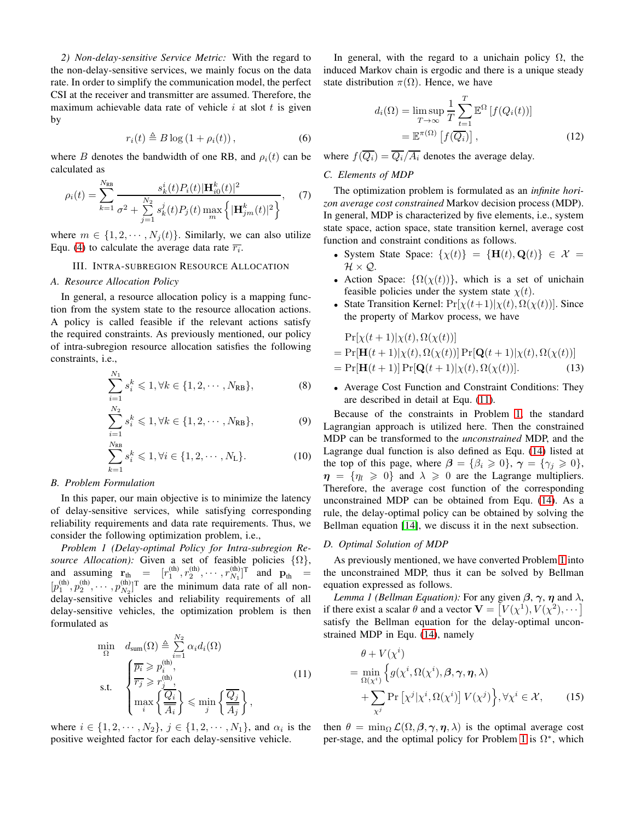*2) Non-delay-sensitive Service Metric:* With the regard to the non-delay-sensitive services, we mainly focus on the data rate. In order to simplify the communication model, the perfect CSI at the receiver and transmitter are assumed. Therefore, the maximum achievable data rate of vehicle  $i$  at slot  $t$  is given by

$$
r_i(t) \triangleq B \log \left(1 + \rho_i(t)\right),\tag{6}
$$

where B denotes the bandwidth of one RB, and  $\rho_i(t)$  can be calculated as

$$
\rho_i(t) = \sum_{k=1}^{N_{\text{RB}}} \frac{s_k^i(t) P_i(t) |\mathbf{H}_{i0}^k(t)|^2}{\sigma^2 + \sum_{j=1}^{N_2} s_k^j(t) P_j(t) \max_m \left\{ |\mathbf{H}_{jm}^k(t)|^2 \right\}}, \quad (7)
$$

<span id="page-2-0"></span>where  $m \in \{1, 2, \dots, N_i(t)\}$ . Similarly, we can also utilize Equ. [\(4\)](#page-1-1) to calculate the average data rate  $\overline{r_i}$ .

# III. INTRA-SUBREGION RESOURCE ALLOCATION

#### *A. Resource Allocation Policy*

In general, a resource allocation policy is a mapping function from the system state to the resource allocation actions. A policy is called feasible if the relevant actions satisfy the required constraints. As previously mentioned, our policy of intra-subregion resource allocation satisfies the following constraints, i.e.,

$$
\sum_{i=1}^{N_1} s_i^k \leq 1, \forall k \in \{1, 2, \cdots, N_{\text{RB}}\},
$$
 (8)

$$
\sum_{i=1}^{N_2} s_i^k \leq 1, \forall k \in \{1, 2, \cdots, N_{\text{RB}}\},
$$
\n(9)

$$
\sum_{k=1}^{N_{\text{RB}}} s_i^k \leq 1, \forall i \in \{1, 2, \cdots, N_{\text{L}}\}.
$$
 (10)

#### *B. Problem Formulation*

In this paper, our main objective is to minimize the latency of delay-sensitive services, while satisfying corresponding reliability requirements and data rate requirements. Thus, we consider the following optimization problem, i.e.,

<span id="page-2-2"></span>*Problem 1 (Delay-optimal Policy for Intra-subregion Resource Allocation):* Given a set of feasible policies  $\{\Omega\},\$ and assuming  $\mathbf{r}_{\text{th}} = [r_1^{(\text{th})}, r_2^{(\text{th})}, \cdots, r_{N_1}^{(\text{th})}]^T$  and  $\mathbf{p}_{\text{th}} =$  $[p_1^{(th)}, p_2^{(th)}, \cdots, p_{N_2}^{(th)}]^T$  are the minimum data rate of all nondelay-sensitive vehicles and reliability requirements of all delay-sensitive vehicles, the optimization problem is then formulated as

$$
\min_{\Omega} d_{\text{sum}}(\Omega) \triangleq \sum_{i=1}^{N_2} \alpha_i d_i(\Omega)
$$
\n
$$
\text{s.t.} \quad \begin{cases} \overline{p_i} \geq p_i^{(\text{th})}, \\ \overline{r_j} \geq r_j^{(\text{th})}, \\ \max_i \left\{ \frac{\overline{Q_i}}{\overline{A_i}} \right\} \leq \min_j \left\{ \frac{\overline{Q_j}}{\overline{A_j}} \right\}, \end{cases} \tag{11}
$$

where  $i \in \{1, 2, \dots, N_2\}, \, j \in \{1, 2, \dots, N_1\},\,$  and  $\alpha_i$  is the positive weighted factor for each delay-sensitive vehicle.

In general, with the regard to a unichain policy  $\Omega$ , the induced Markov chain is ergodic and there is a unique steady state distribution  $\pi(\Omega)$ . Hence, we have

$$
d_i(\Omega) = \limsup_{T \to \infty} \frac{1}{T} \sum_{t=1}^T \mathbb{E}^{\Omega} \left[ f(Q_i(t)) \right]
$$

$$
= \mathbb{E}^{\pi(\Omega)} \left[ f(\overline{Q_i}) \right], \tag{12}
$$

where  $f(\overline{Q_i}) = \overline{Q_i}/\overline{A_i}$  denotes the average delay.

# *C. Elements of MDP*

The optimization problem is formulated as an *infinite horizon average cost constrained* Markov decision process (MDP). In general, MDP is characterized by five elements, i.e., system state space, action space, state transition kernel, average cost function and constraint conditions as follows.

- System State Space:  $\{\chi(t)\} = \{\mathbf{H}(t), \mathbf{Q}(t)\} \in \mathcal{X}$  $\mathcal{H}\times\mathcal{Q}.$
- Action Space:  $\{\Omega(\chi(t))\}$ , which is a set of unichain feasible policies under the system state  $\chi(t)$ .
- State Transition Kernel:  $Pr[\chi(t+1)|\chi(t), \Omega(\chi(t))]$ . Since the property of Markov process, we have

$$
\Pr[\chi(t+1)|\chi(t),\Omega(\chi(t))]
$$
  
=  $\Pr[\mathbf{H}(t+1)|\chi(t),\Omega(\chi(t))]$   $\Pr[\mathbf{Q}(t+1)|\chi(t),\Omega(\chi(t))]$   
=  $\Pr[\mathbf{H}(t+1)]$   $\Pr[\mathbf{Q}(t+1)|\chi(t),\Omega(\chi(t))]$ . (13)

• Average Cost Function and Constraint Conditions: They are described in detail at Equ. [\(11\)](#page-2-1).

Because of the constraints in Problem [1,](#page-2-2) the standard Lagrangian approach is utilized here. Then the constrained MDP can be transformed to the *unconstrained* MDP, and the Lagrange dual function is also defined as Equ. [\(14\)](#page-3-1) listed at the top of this page, where  $\beta = {\beta_i \geq 0}, \gamma = {\gamma_i \geq 0},$  $\eta = {\eta_l \geq 0}$  and  $\lambda \geq 0$  are the Lagrange multipliers. Therefore, the average cost function of the corresponding unconstrained MDP can be obtained from Equ. [\(14\)](#page-3-1). As a rule, the delay-optimal policy can be obtained by solving the Bellman equation [\[14\]](#page-5-9), we discuss it in the next subsection.

#### *D. Optimal Solution of MDP*

As previously mentioned, we have converted Problem [1](#page-2-2) into the unconstrained MDP, thus it can be solved by Bellman equation expressed as follows.

*Lemma 1 (Bellman Equation):* For any given  $\beta$ ,  $\gamma$ ,  $\eta$  and  $\lambda$ , if there exist a scalar  $\theta$  and a vector  $\mathbf{V} = [V(\chi^1), V(\chi^2), \dots]$ satisfy the Bellman equation for the delay-optimal unconstrained MDP in Equ. [\(14\)](#page-3-1), namely

<span id="page-2-3"></span><span id="page-2-1"></span>
$$
\theta + V(\chi^{i})
$$
\n
$$
= \min_{\Omega(\chi^{i})} \left\{ g(\chi^{i}, \Omega(\chi^{i}), \beta, \gamma, \eta, \lambda) \right\}
$$
\n
$$
+ \sum_{\chi^{j}} \Pr \left[ \chi^{j} | \chi^{i}, \Omega(\chi^{i}) \right] V(\chi^{j}) \right\}, \forall \chi^{i} \in \mathcal{X}, \qquad (15)
$$

then  $\theta = \min_{\Omega} \mathcal{L}(\Omega, \beta, \gamma, \eta, \lambda)$  is the optimal average cost per-stage, and the optimal policy for Problem [1](#page-2-2) is  $\Omega^*$ , which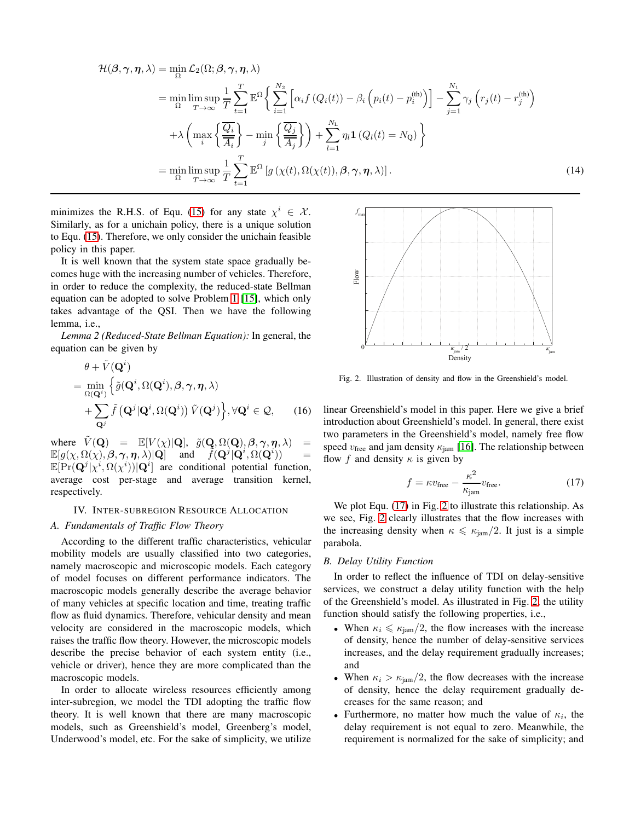$$
\mathcal{H}(\beta, \gamma, \eta, \lambda) = \min_{\Omega} \mathcal{L}_{2}(\Omega; \beta, \gamma, \eta, \lambda)
$$
  
\n
$$
= \min_{\Omega} \limsup_{T \to \infty} \frac{1}{T} \sum_{t=1}^{T} \mathbb{E}^{\Omega} \Big\{ \sum_{i=1}^{N_{2}} \Big[ \alpha_{i} f(Q_{i}(t)) - \beta_{i} \Big( p_{i}(t) - p_{i}^{(\text{th})} \Big) \Big] - \sum_{j=1}^{N_{1}} \gamma_{j} \Big( r_{j}(t) - r_{j}^{(\text{th})} \Big)
$$
  
\n
$$
+ \lambda \Big( \max_{i} \Big\{ \frac{\overline{Q_{i}}}{\overline{A_{i}}} \Big\} - \min_{j} \Big\{ \frac{\overline{Q_{j}}}{\overline{A_{j}}} \Big\} \Big) + \sum_{l=1}^{N_{\text{L}}} \eta_{l} \mathbf{1} \big( Q_{l}(t) = N_{\text{Q}} \big) \Big\}
$$
  
\n
$$
= \min_{\Omega} \limsup_{T \to \infty} \frac{1}{T} \sum_{t=1}^{T} \mathbb{E}^{\Omega} \big[ g\big( \chi(t), \Omega(\chi(t)), \beta, \gamma, \eta, \lambda \big) \big]. \tag{14}
$$

minimizes the R.H.S. of Equ. [\(15\)](#page-2-3) for any state  $\chi^i \in \mathcal{X}$ . Similarly, as for a unichain policy, there is a unique solution to Equ. [\(15\)](#page-2-3). Therefore, we only consider the unichain feasible policy in this paper.

It is well known that the system state space gradually becomes huge with the increasing number of vehicles. Therefore, in order to reduce the complexity, the reduced-state Bellman equation can be adopted to solve Problem [1](#page-2-2) [\[15\]](#page-5-10), which only takes advantage of the QSI. Then we have the following lemma, i.e.,

*Lemma 2 (Reduced-State Bellman Equation):* In general, the equation can be given by

$$
\theta + \tilde{V}(\mathbf{Q}^{i})
$$
\n
$$
= \min_{\Omega(\mathbf{Q}^{i})} \left\{ \tilde{g}(\mathbf{Q}^{i}, \Omega(\mathbf{Q}^{i}), \beta, \gamma, \eta, \lambda) \right\}
$$
\n
$$
+ \sum_{\mathbf{Q}^{j}} \tilde{f}(\mathbf{Q}^{j}|\mathbf{Q}^{i}, \Omega(\mathbf{Q}^{i})) \tilde{V}(\mathbf{Q}^{j}) \right\}, \forall \mathbf{Q}^{i} \in \mathcal{Q}, \qquad (16)
$$

where  $\tilde{V}(\mathbf{Q}) = \mathbb{E}[V(\chi)|\mathbf{Q}], \tilde{g}(\mathbf{Q}, \Omega(\mathbf{Q}), \beta, \gamma, \eta, \lambda]$  $\mathbb{E}[g(\chi,\Omega(\chi),\boldsymbol{\beta},\boldsymbol{\gamma},\boldsymbol{\eta},\dot{\lambda})|\mathbf{Q}] \quad \text{ and } \quad \tilde{f}(\mathbf{Q}^j|\mathbf{Q}^i,\Omega(\mathbf{Q}^i)) \quad =$  $\mathbb{E}[\Pr(\mathbf{Q}^j | \chi^i, \Omega(\chi^i)) | \mathbf{Q}^i]$  are conditional potential function, average cost per-stage and average transition kernel, respectively.

#### <span id="page-3-0"></span>IV. INTER-SUBREGION RESOURCE ALLOCATION

## *A. Fundamentals of Traffic Flow Theory*

According to the different traffic characteristics, vehicular mobility models are usually classified into two categories, namely macroscopic and microscopic models. Each category of model focuses on different performance indicators. The macroscopic models generally describe the average behavior of many vehicles at specific location and time, treating traffic flow as fluid dynamics. Therefore, vehicular density and mean velocity are considered in the macroscopic models, which raises the traffic flow theory. However, the microscopic models describe the precise behavior of each system entity (i.e., vehicle or driver), hence they are more complicated than the macroscopic models.

In order to allocate wireless resources efficiently among inter-subregion, we model the TDI adopting the traffic flow theory. It is well known that there are many macroscopic models, such as Greenshield's model, Greenberg's model, Underwood's model, etc. For the sake of simplicity, we utilize

<span id="page-3-1"></span>

<span id="page-3-3"></span>Fig. 2. Illustration of density and flow in the Greenshield's model.

<span id="page-3-4"></span>linear Greenshield's model in this paper. Here we give a brief introduction about Greenshield's model. In general, there exist two parameters in the Greenshield's model, namely free flow speed  $v_{\text{free}}$  and jam density  $\kappa_{\text{jam}}$  [\[16\]](#page-5-11). The relationship between flow f and density  $\kappa$  is given by

<span id="page-3-2"></span>
$$
f = \kappa v_{\text{free}} - \frac{\kappa^2}{\kappa_{\text{jam}}} v_{\text{free}}.
$$
 (17)

We plot Equ. [\(17\)](#page-3-2) in Fig. [2](#page-3-3) to illustrate this relationship. As we see, Fig. [2](#page-3-3) clearly illustrates that the flow increases with the increasing density when  $\kappa \le \kappa_{\text{iam}}/2$ . It just is a simple parabola.

## *B. Delay Utility Function*

In order to reflect the influence of TDI on delay-sensitive services, we construct a delay utility function with the help of the Greenshield's model. As illustrated in Fig. [2,](#page-3-3) the utility function should satisfy the following properties, i.e.,

- When  $\kappa_i \leq \kappa_{\text{iam}}/2$ , the flow increases with the increase of density, hence the number of delay-sensitive services increases, and the delay requirement gradually increases; and
- When  $\kappa_i > \kappa_{\text{jam}}/2$ , the flow decreases with the increase of density, hence the delay requirement gradually decreases for the same reason; and
- Furthermore, no matter how much the value of  $\kappa_i$ , the delay requirement is not equal to zero. Meanwhile, the requirement is normalized for the sake of simplicity; and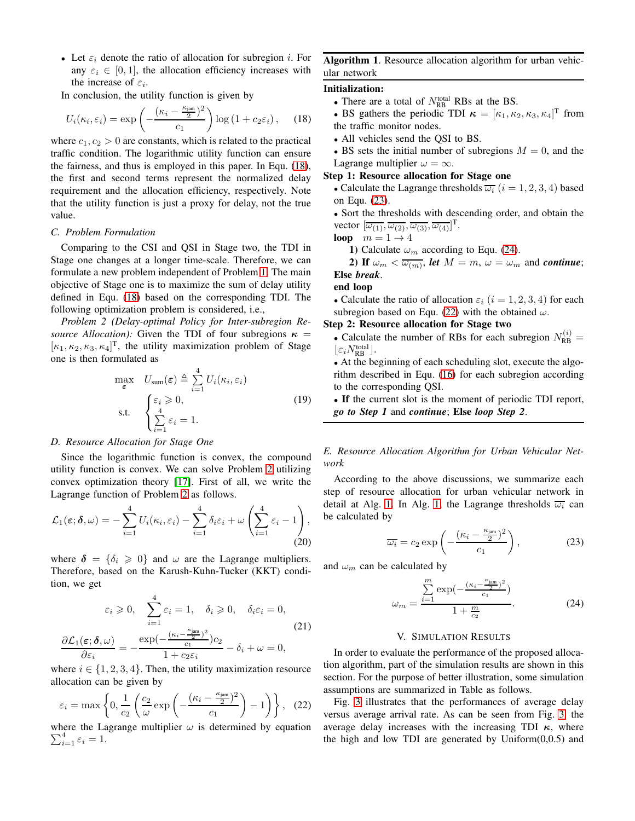• Let  $\varepsilon_i$  denote the ratio of allocation for subregion *i*. For any  $\varepsilon_i \in [0, 1]$ , the allocation efficiency increases with the increase of  $\varepsilon_i$ .

In conclusion, the utility function is given by

$$
U_i(\kappa_i, \varepsilon_i) = \exp\left(-\frac{(\kappa_i - \frac{\kappa_{\text{jam}}}{2})^2}{c_1}\right) \log\left(1 + c_2 \varepsilon_i\right), \quad (18)
$$

where  $c_1, c_2 > 0$  are constants, which is related to the practical traffic condition. The logarithmic utility function can ensure the fairness, and thus is employed in this paper. In Equ. [\(18\)](#page-4-1), the first and second terms represent the normalized delay requirement and the allocation efficiency, respectively. Note that the utility function is just a proxy for delay, not the true value.

## *C. Problem Formulation*

Comparing to the CSI and QSI in Stage two, the TDI in Stage one changes at a longer time-scale. Therefore, we can formulate a new problem independent of Problem [1.](#page-2-2) The main objective of Stage one is to maximize the sum of delay utility defined in Equ. [\(18\)](#page-4-1) based on the corresponding TDI. The following optimization problem is considered, i.e.,

*Problem 2 (Delay-optimal Policy for Inter-subregion Resource Allocation):* Given the TDI of four subregions  $\kappa$  =  $[\kappa_1, \kappa_2, \kappa_3, \kappa_4]^T$ , the utility maximization problem of Stage one is then formulated as

$$
\max_{\varepsilon} \quad U_{\text{sum}}(\varepsilon) \triangleq \sum_{i=1}^{4} U_i(\kappa_i, \varepsilon_i)
$$
\n
$$
\text{s.t.} \quad \begin{cases} \varepsilon_i \geq 0, \\ \sum_{i=1}^{4} \varepsilon_i = 1. \end{cases} \tag{19}
$$

## *D. Resource Allocation for Stage One*

Since the logarithmic function is convex, the compound utility function is convex. We can solve Problem [2](#page-4-2) utilizing convex optimization theory [\[17\]](#page-5-12). First of all, we write the Lagrange function of Problem [2](#page-4-2) as follows.

$$
\mathcal{L}_1(\varepsilon; \delta, \omega) = -\sum_{i=1}^4 U_i(\kappa_i, \varepsilon_i) - \sum_{i=1}^4 \delta_i \varepsilon_i + \omega \left( \sum_{i=1}^4 \varepsilon_i - 1 \right), \tag{20}
$$

where  $\delta = {\delta_i \geq 0}$  and  $\omega$  are the Lagrange multipliers. Therefore, based on the Karush-Kuhn-Tucker (KKT) condition, we get

$$
\varepsilon_i \geq 0, \quad \sum_{i=1}^4 \varepsilon_i = 1, \quad \delta_i \geq 0, \quad \delta_i \varepsilon_i = 0,
$$

$$
\frac{\partial \mathcal{L}_1(\varepsilon; \delta, \omega)}{\partial \varepsilon_i} = -\frac{\exp(-\frac{(\kappa_i - \frac{\kappa_{\text{jam}}}{2})^2}{c_1})c_2}{1 + c_2 \varepsilon_i} - \delta_i + \omega = 0,
$$

$$
(21)
$$

where  $i \in \{1, 2, 3, 4\}$ . Then, the utility maximization resource allocation can be given by

$$
\varepsilon_i = \max\left\{0, \frac{1}{c_2} \left(\frac{c_2}{\omega} \exp\left(-\frac{(\kappa_i - \frac{\kappa_{\text{jam}}}{2})^2}{c_1}\right) - 1\right)\right\}, \quad (22)
$$

 $\sum_{i=1}^4 \varepsilon_i = 1.$ where the Lagrange multiplier  $\omega$  is determined by equation

# <span id="page-4-6"></span>Algorithm 1. Resource allocation algorithm for urban vehicular network

## <span id="page-4-1"></span>Initialization:

- There are a total of  $N_{RB}^{total}$  RBs at the BS.
- BS gathers the periodic TDI  $\kappa = [\kappa_1, \kappa_2, \kappa_3, \kappa_4]^T$  from the traffic monitor nodes.
- All vehicles send the QSI to BS.

• BS sets the initial number of subregions  $M = 0$ , and the Lagrange multiplier  $\omega = \infty$ .

## Step 1: Resource allocation for Stage one

• Calculate the Lagrange thresholds  $\overline{\omega_i}$  ( $i = 1, 2, 3, 4$ ) based on Equ. [\(23\)](#page-4-3).

• Sort the thresholds with descending order, and obtain the vector  $[\overline{\omega_{(1)}}, \overline{\omega_{(2)}}, \overline{\omega_{(3)}}, \overline{\omega_{(4)}}]^{\text{T}}$ .

loop  $m = 1 \rightarrow 4$ 

1) Calculate  $\omega_m$  according to Equ. [\(24\)](#page-4-4).

2) If  $\omega_m < \overline{\omega_{(m)}}$ , *let*  $M = m$ ,  $\omega = \omega_m$  and *continue*; Else *break*.

#### end loop

• Calculate the ratio of allocation  $\varepsilon_i$   $(i = 1, 2, 3, 4)$  for each subregion based on Equ. [\(22\)](#page-4-5) with the obtained  $\omega$ .

## <span id="page-4-2"></span>Step 2: Resource allocation for Stage two

• Calculate the number of RBs for each subregion  $N_{\text{RB}}^{(i)} =$  $\lfloor \varepsilon_i N_{\text{RB}}^{\text{total}} \rfloor.$ 

• At the beginning of each scheduling slot, execute the algorithm described in Equ. [\(16\)](#page-3-4) for each subregion according to the corresponding QSI.

• If the current slot is the moment of periodic TDI report, *go to Step 1* and *continue*; Else *loop Step 2*.

*E. Resource Allocation Algorithm for Urban Vehicular Network*

According to the above discussions, we summarize each step of resource allocation for urban vehicular network in detail at Alg. [1.](#page-4-6) In Alg. [1,](#page-4-6) the Lagrange thresholds  $\overline{\omega_i}$  can be calculated by

<span id="page-4-3"></span>
$$
\overline{\omega_i} = c_2 \exp\left(-\frac{(\kappa_i - \frac{\kappa_{\text{jam}}}{2})^2}{c_1}\right),\tag{23}
$$

and  $\omega_m$  can be calculated by

$$
\omega_m = \frac{\sum_{i=1}^{m} \exp(-\frac{(\kappa_i - \frac{\kappa_{\text{jam}}}{2})^2}{c_1})}{1 + \frac{m}{c_2}}.
$$
 (24)

#### <span id="page-4-4"></span>V. SIMULATION RESULTS

<span id="page-4-0"></span>In order to evaluate the performance of the proposed allocation algorithm, part of the simulation results are shown in this section. For the purpose of better illustration, some simulation assumptions are summarized in Table as follows.

<span id="page-4-5"></span>Fig. [3](#page-5-13) illustrates that the performances of average delay versus average arrival rate. As can be seen from Fig. [3,](#page-5-13) the average delay increases with the increasing TDI  $\kappa$ , where the high and low TDI are generated by  $Uniform(0,0.5)$  and